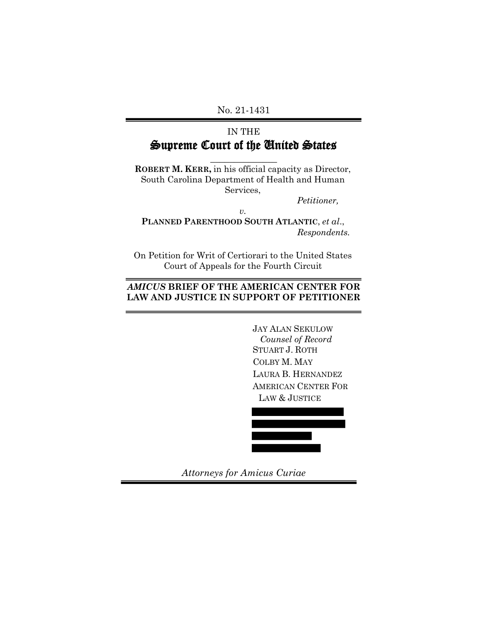No. 21-1431

# IN THE Supreme Court of the United States

**ROBERT M. KERR,** in his official capacity as Director, South Carolina Department of Health and Human Services,

**\_\_\_\_\_\_\_\_\_\_\_\_\_\_**

*Petitioner,*

*v.* **PLANNED PARENTHOOD SOUTH ATLANTIC**, *et al*., *Respondents.*

On Petition for Writ of Certiorari to the United States Court of Appeals for the Fourth Circuit

### *AMICUS* **BRIEF OF THE AMERICAN CENTER FOR LAW AND JUSTICE IN SUPPORT OF PETITIONER**

 JAY ALAN SEKULOW  *Counsel of Record* STUART J. ROTH COLBY M. MAY LAURA B. HERNANDEZ AMERICAN CENTER FOR LAW & JUSTICE



*Attorneys for Amicus Curiae*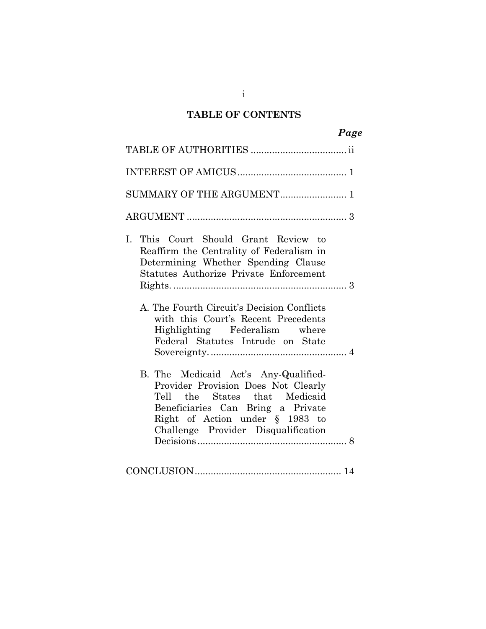# **TABLE OF CONTENTS**

| SUMMARY OF THE ARGUMENT 1                                                                                                                                                                                                   |
|-----------------------------------------------------------------------------------------------------------------------------------------------------------------------------------------------------------------------------|
|                                                                                                                                                                                                                             |
| I. This Court Should Grant Review to<br>Reaffirm the Centrality of Federalism in<br>Determining Whether Spending Clause<br>Statutes Authorize Private Enforcement                                                           |
| A. The Fourth Circuit's Decision Conflicts<br>with this Court's Recent Precedents<br>Highlighting Federalism where<br>Federal Statutes Intrude on State                                                                     |
| B. The Medicaid Act's Any-Qualified-<br>Provider Provision Does Not Clearly<br>Tell the States that Medicaid<br>Beneficiaries Can Bring a Private<br>Right of Action under § 1983 to<br>Challenge Provider Disqualification |
|                                                                                                                                                                                                                             |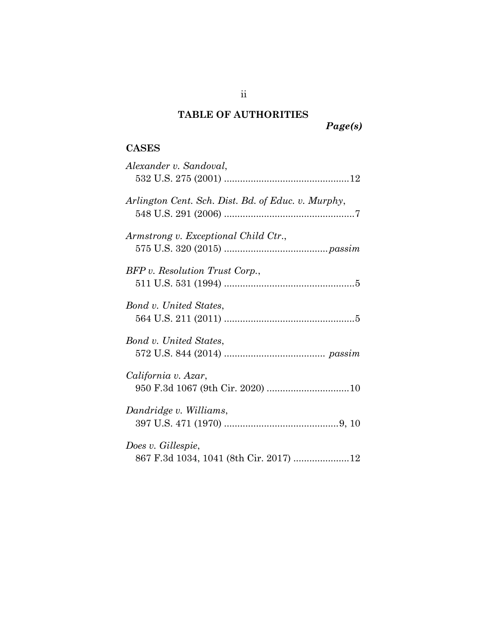# **TABLE OF AUTHORITIES**

*Page(s)*

## **CASES**

| Alexander v. Sandoval,                             |
|----------------------------------------------------|
| Arlington Cent. Sch. Dist. Bd. of Educ. v. Murphy, |
| Armstrong v. Exceptional Child Ctr.,               |
| BFP v. Resolution Trust Corp.,                     |
| Bond v. United States,                             |
| Bond v. United States,                             |
| California v. Azar,                                |
| Dandridge v. Williams,                             |
| Does v. Gillespie,                                 |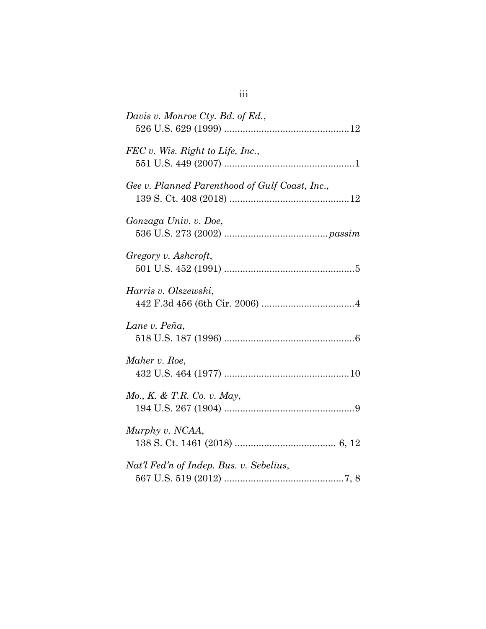| Davis v. Monroe Cty. Bd. of Ed.,               |
|------------------------------------------------|
| FEC v. Wis. Right to Life, Inc.,               |
| Gee v. Planned Parenthood of Gulf Coast, Inc., |
| Gonzaga Univ. v. Doe,                          |
| Gregory v. Ashcroft,                           |
| Harris v. Olszewski,                           |
| Lane v. Peña,                                  |
| Maher v. Roe,                                  |
| <i>Mo., K. &amp; T.R. Co. v. May,</i>          |
| Murphy v. NCAA,                                |
| Nat'l Fed'n of Indep. Bus. v. Sebelius,        |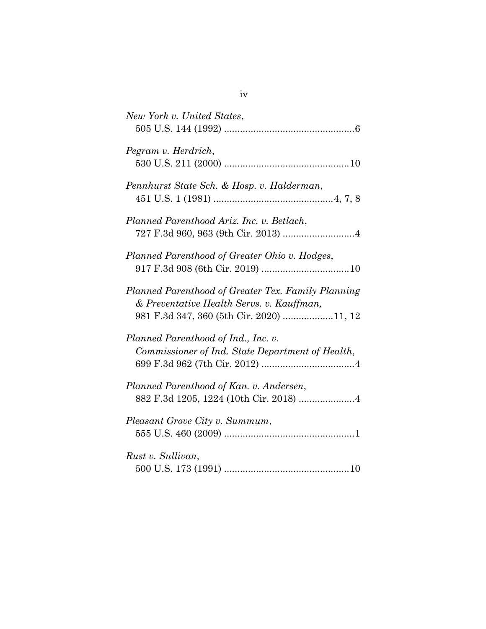| New York v. United States,                                                                                                                  |
|---------------------------------------------------------------------------------------------------------------------------------------------|
| Pegram v. Herdrich,                                                                                                                         |
| Pennhurst State Sch. & Hosp. v. Halderman,                                                                                                  |
| Planned Parenthood Ariz. Inc. v. Betlach,                                                                                                   |
| Planned Parenthood of Greater Ohio v. Hodges,                                                                                               |
| Planned Parenthood of Greater Tex. Family Planning<br>& Preventative Health Servs. v. Kauffman,<br>981 F.3d 347, 360 (5th Cir. 2020) 11, 12 |
| Planned Parenthood of Ind., Inc. v.<br>Commissioner of Ind. State Department of Health,                                                     |
| Planned Parenthood of Kan. v. Andersen,                                                                                                     |
| Pleasant Grove City v. Summum,                                                                                                              |
| Rust v. Sullivan,                                                                                                                           |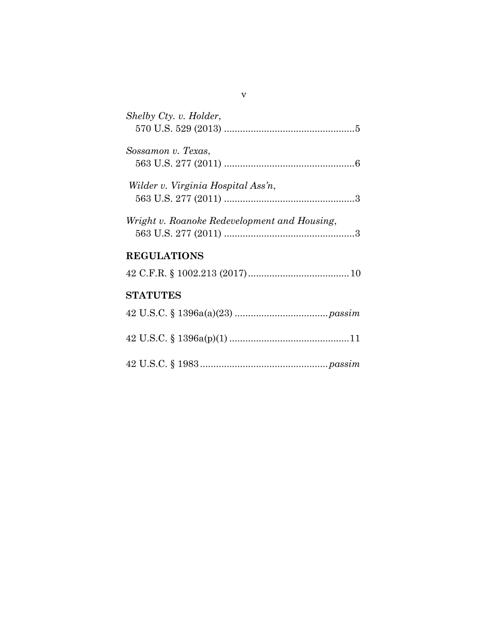| Shelby Cty. v. Holder,                       |
|----------------------------------------------|
|                                              |
|                                              |
| Sossamon v. Texas,                           |
|                                              |
| Wilder v. Virginia Hospital Ass'n,           |
|                                              |
|                                              |
| Wright v. Roanoke Redevelopment and Housing, |
|                                              |
| <b>REGULATIONS</b>                           |
|                                              |
|                                              |
| <b>STATUTES</b>                              |
|                                              |
|                                              |
|                                              |
|                                              |
|                                              |

v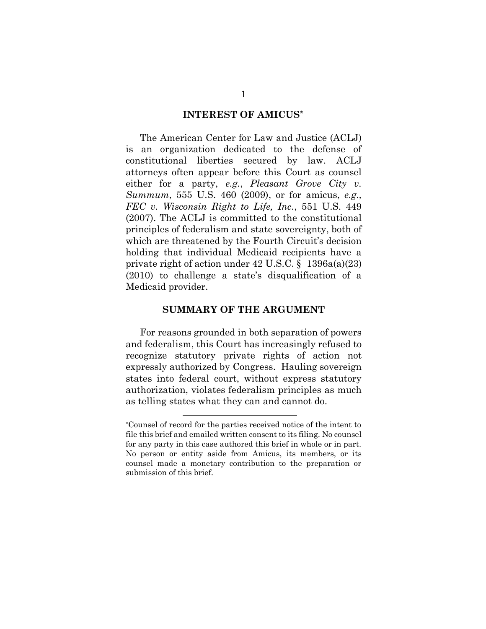#### **INTEREST OF AMICUS\***

The American Center for Law and Justice (ACLJ) is an organization dedicated to the defense of constitutional liberties secured by law. ACLJ attorneys often appear before this Court as counsel either for a party, *e.g.*, *Pleasant Grove City v. Summum*, 555 U.S. 460 (2009), or for amicus, *e.g., FEC v. Wisconsin Right to Life, Inc.*, 551 U.S. 449 (2007). The ACLJ is committed to the constitutional principles of federalism and state sovereignty, both of which are threatened by the Fourth Circuit's decision holding that individual Medicaid recipients have a private right of action under 42 U.S.C. § 1396a(a)(23) (2010) to challenge a state's disqualification of a Medicaid provider.

#### **SUMMARY OF THE ARGUMENT**

For reasons grounded in both separation of powers and federalism, this Court has increasingly refused to recognize statutory private rights of action not expressly authorized by Congress. Hauling sovereign states into federal court, without express statutory authorization, violates federalism principles as much as telling states what they can and cannot do.

<sup>\*</sup>Counsel of record for the parties received notice of the intent to file this brief and emailed written consent to its filing. No counsel for any party in this case authored this brief in whole or in part. No person or entity aside from Amicus, its members, or its counsel made a monetary contribution to the preparation or submission of this brief.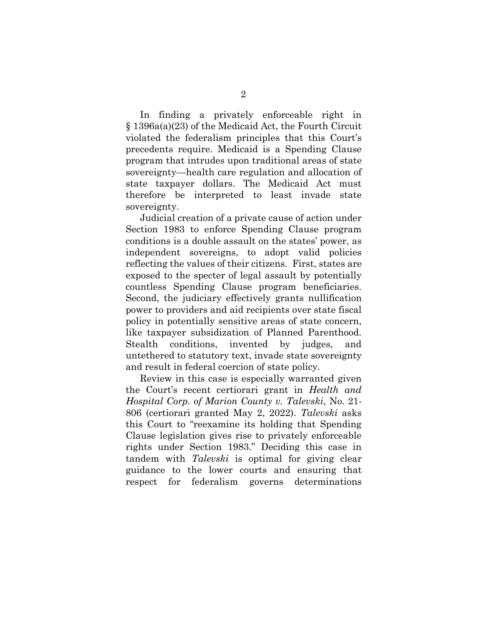In finding a privately enforceable right in § 1396a(a)(23) of the Medicaid Act, the Fourth Circuit violated the federalism principles that this Court's precedents require. Medicaid is a Spending Clause program that intrudes upon traditional areas of state sovereignty—health care regulation and allocation of state taxpayer dollars. The Medicaid Act must therefore be interpreted to least invade state sovereignty.

Judicial creation of a private cause of action under Section 1983 to enforce Spending Clause program conditions is a double assault on the states' power, as independent sovereigns, to adopt valid policies reflecting the values of their citizens. First, states are exposed to the specter of legal assault by potentially countless Spending Clause program beneficiaries. Second, the judiciary effectively grants nullification power to providers and aid recipients over state fiscal policy in potentially sensitive areas of state concern, like taxpayer subsidization of Planned Parenthood. Stealth conditions, invented by judges, and untethered to statutory text, invade state sovereignty and result in federal coercion of state policy.

Review in this case is especially warranted given the Court's recent certiorari grant in *Health and Hospital Corp. of Marion County v. Talevski*, No. 21- 806 (certiorari granted May 2, 2022). *Talevski* asks this Court to "reexamine its holding that Spending Clause legislation gives rise to privately enforceable rights under Section 1983." Deciding this case in tandem with *Talevski* is optimal for giving clear guidance to the lower courts and ensuring that respect for federalism governs determinations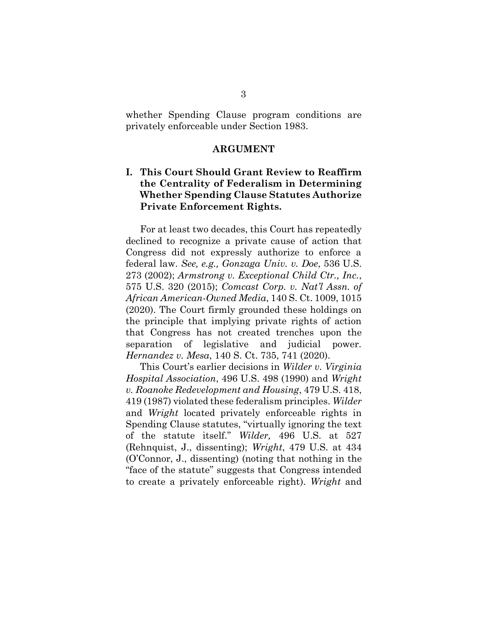whether Spending Clause program conditions are privately enforceable under Section 1983.

#### **ARGUMENT**

## **I. This Court Should Grant Review to Reaffirm the Centrality of Federalism in Determining Whether Spending Clause Statutes Authorize Private Enforcement Rights.**

For at least two decades, this Court has repeatedly declined to recognize a private cause of action that Congress did not expressly authorize to enforce a federal law. *See, e.g., Gonzaga Univ. v. Doe*, 536 U.S. 273 (2002); *Armstrong v. Exceptional Child Ctr., Inc.*, 575 U.S. 320 (2015); *Comcast Corp. v. Nat'l Assn. of African American-Owned Media*, 140 S. Ct. 1009, 1015 (2020). The Court firmly grounded these holdings on the principle that implying private rights of action that Congress has not created trenches upon the separation of legislative and judicial power. *Hernandez v. Mesa*, 140 S. Ct. 735, 741 (2020).

This Court's earlier decisions in *Wilder v. Virginia Hospital Association*, 496 U.S. 498 (1990) and *Wright v. Roanoke Redevelopment and Housing*, 479 U.S. 418, 419 (1987) violated these federalism principles. *Wilder* and *Wright* located privately enforceable rights in Spending Clause statutes, "virtually ignoring the text of the statute itself." *Wilder,* 496 U.S. at 527 (Rehnquist, J., dissenting); *Wright*, 479 U.S. at 434 (O'Connor, J., dissenting) (noting that nothing in the "face of the statute" suggests that Congress intended to create a privately enforceable right). *Wright* and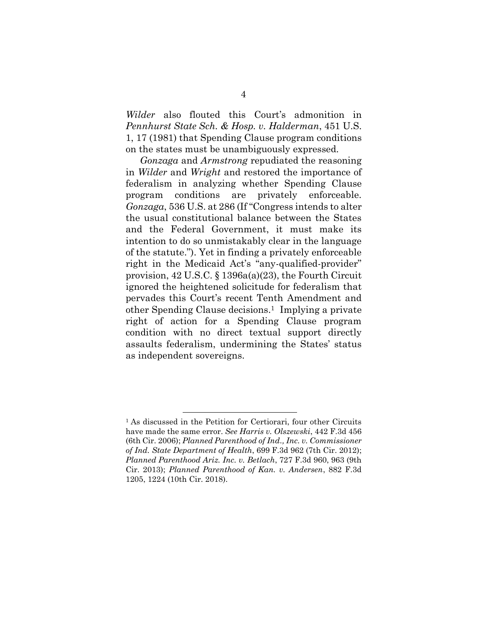*Wilder* also flouted this Court's admonition in *Pennhurst State Sch. & Hosp. v. Halderman*, 451 U.S. 1, 17 (1981) that Spending Clause program conditions on the states must be unambiguously expressed.

*Gonzaga* and *Armstrong* repudiated the reasoning in *Wilder* and *Wright* and restored the importance of federalism in analyzing whether Spending Clause program conditions are privately enforceable. *Gonzaga*, 536 U.S. at 286 (If "Congress intends to alter the usual constitutional balance between the States and the Federal Government, it must make its intention to do so unmistakably clear in the language of the statute."). Yet in finding a privately enforceable right in the Medicaid Act's "any-qualified-provider" provision, 42 U.S.C. § 1396a(a)(23), the Fourth Circuit ignored the heightened solicitude for federalism that pervades this Court's recent Tenth Amendment and other Spending Clause decisions. <sup>1</sup> Implying a private right of action for a Spending Clause program condition with no direct textual support directly assaults federalism, undermining the States' status as independent sovereigns.

<sup>1</sup> As discussed in the Petition for Certiorari, four other Circuits have made the same error. *See Harris v. Olszewski*, 442 F.3d 456 (6th Cir. 2006); *Planned Parenthood of Ind., Inc. v. Commissioner of Ind. State Department of Health*, 699 F.3d 962 (7th Cir. 2012); *Planned Parenthood Ariz. Inc. v. Betlach*, 727 F.3d 960, 963 (9th Cir. 2013); *Planned Parenthood of Kan. v. Andersen*, 882 F.3d 1205, 1224 (10th Cir. 2018).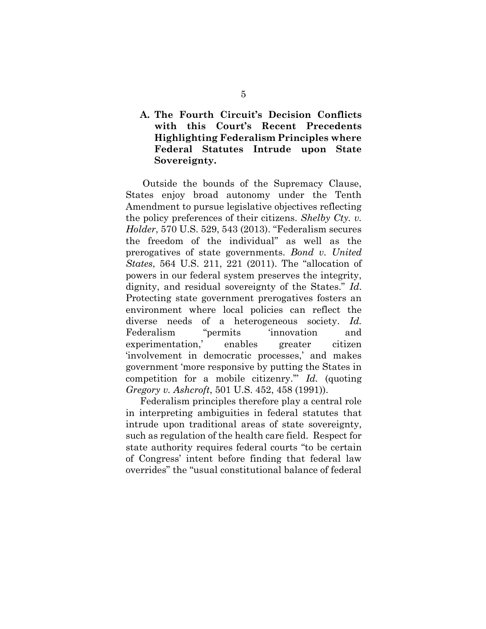## **A. The Fourth Circuit's Decision Conflicts with this Court's Recent Precedents Highlighting Federalism Principles where Federal Statutes Intrude upon State Sovereignty.**

Outside the bounds of the Supremacy Clause, States enjoy broad autonomy under the Tenth Amendment to pursue legislative objectives reflecting the policy preferences of their citizens. *Shelby Cty. v. Holder*, 570 U.S. 529, 543 (2013). ''Federalism secures the freedom of the individual'' as well as the prerogatives of state governments. *Bond v. United States*, 564 U.S. 211, 221 (2011). The "allocation of powers in our federal system preserves the integrity, dignity, and residual sovereignty of the States." *Id*. Protecting state government prerogatives fosters an environment where local policies can reflect the diverse needs of a heterogeneous society. *Id.* Federalism "permits 'innovation and experimentation,' enables greater citizen 'involvement in democratic processes,' and makes government 'more responsive by putting the States in competition for a mobile citizenry.'" *Id.* (quoting *Gregory v. Ashcroft*, 501 U.S. 452, 458 (1991)).

Federalism principles therefore play a central role in interpreting ambiguities in federal statutes that intrude upon traditional areas of state sovereignty, such as regulation of the health care field. Respect for state authority requires federal courts "to be certain of Congress' intent before finding that federal law overrides" the "usual constitutional balance of federal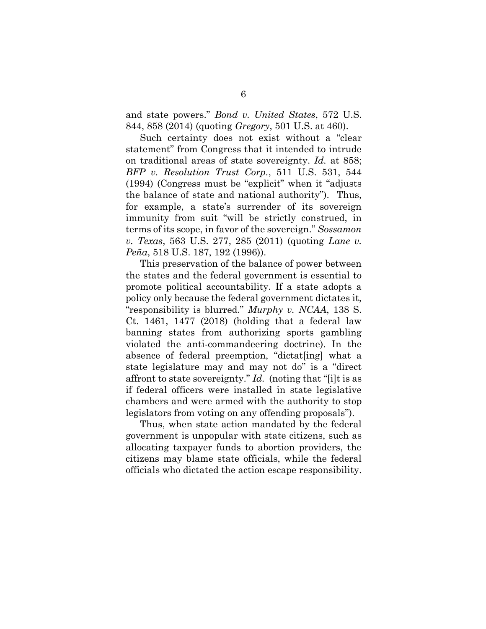and state powers." *Bond v. United States*, 572 U.S. 844, 858 (2014) (quoting *Gregory*, 501 U.S. at 460).

Such certainty does not exist without a "clear statement" from Congress that it intended to intrude on traditional areas of state sovereignty. *Id.* at 858; *BFP v. Resolution Trust Corp.*, 511 U.S. 531, 544 (1994) (Congress must be "explicit" when it "adjusts the balance of state and national authority"). Thus, for example, a state's surrender of its sovereign immunity from suit "will be strictly construed, in terms of its scope, in favor of the sovereign." *Sossamon v. Texas*, 563 U.S. 277, 285 (2011) (quoting *Lane v. Peña*, 518 U.S. 187, 192 (1996)).

This preservation of the balance of power between the states and the federal government is essential to promote political accountability. If a state adopts a policy only because the federal government dictates it, "responsibility is blurred." *Murphy v. NCAA*, 138 S. Ct. 1461, 1477 (2018) (holding that a federal law banning states from authorizing sports gambling violated the anti-commandeering doctrine). In the absence of federal preemption, "dictat[ing] what a state legislature may and may not do" is a "direct affront to state sovereignty." *Id.* (noting that "[i]t is as if federal officers were installed in state legislative chambers and were armed with the authority to stop legislators from voting on any offending proposals").

Thus, when state action mandated by the federal government is unpopular with state citizens, such as allocating taxpayer funds to abortion providers, the citizens may blame state officials, while the federal officials who dictated the action escape responsibility.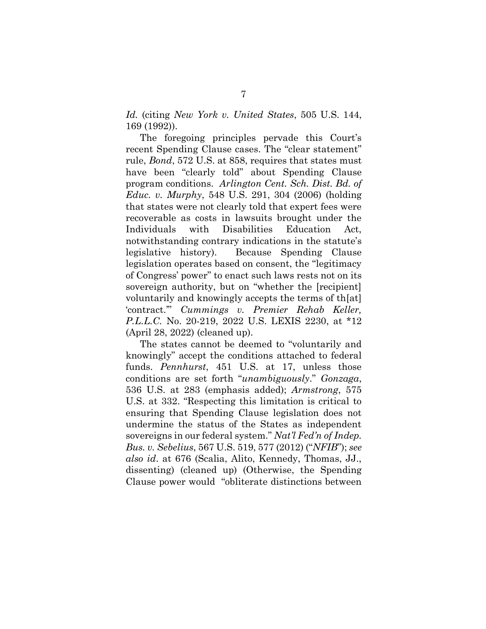*Id.* (citing *New York v. United States*, 505 U.S. 144, 169 (1992)).

The foregoing principles pervade this Court's recent Spending Clause cases. The "clear statement" rule, *Bond*, 572 U.S. at 858, requires that states must have been "clearly told" about Spending Clause program conditions. *Arlington Cent. Sch. Dist. Bd. of Educ. v. Murphy*, 548 U.S. 291, 304 (2006) (holding that states were not clearly told that expert fees were recoverable as costs in lawsuits brought under the Individuals with Disabilities Education Act, notwithstanding contrary indications in the statute's legislative history). Because Spending Clause legislation operates based on consent, the "legitimacy of Congress' power" to enact such laws rests not on its sovereign authority, but on "whether the [recipient] voluntarily and knowingly accepts the terms of th[at] 'contract.'" *Cummings v. Premier Rehab Keller, P.L.L.C.* No. 20-219, 2022 U.S. LEXIS 2230, at \*12 (April 28, 2022) (cleaned up).

The states cannot be deemed to "voluntarily and knowingly" accept the conditions attached to federal funds. *Pennhurst*, 451 U.S. at 17, unless those conditions are set forth "*unambiguously*." *Gonzaga*, 536 U.S. at 283 (emphasis added); *Armstrong*, 575 U.S. at 332. "Respecting this limitation is critical to ensuring that Spending Clause legislation does not undermine the status of the States as independent sovereigns in our federal system." *Nat'l Fed'n of Indep. Bus. v. Sebelius*, 567 U.S. 519, 577 (2012) ("*NFIB*"); *see also id*. at 676 (Scalia, Alito, Kennedy, Thomas, JJ., dissenting) (cleaned up) (Otherwise, the Spending Clause power would "obliterate distinctions between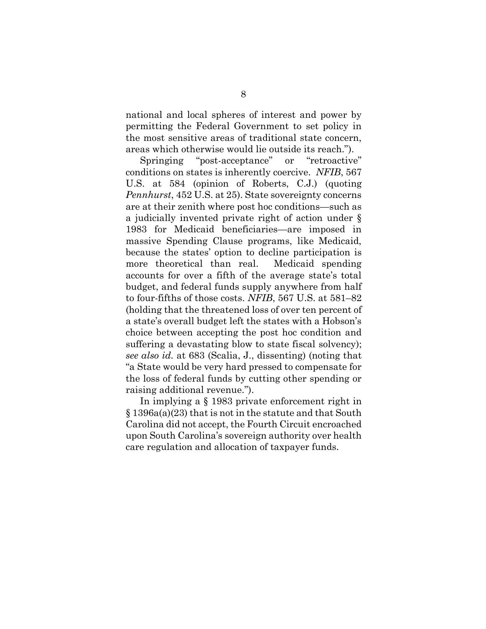national and local spheres of interest and power by permitting the Federal Government to set policy in the most sensitive areas of traditional state concern, areas which otherwise would lie outside its reach.").

Springing "post-acceptance" or "retroactive" conditions on states is inherently coercive. *NFIB*, 567 U.S. at 584 (opinion of Roberts, C.J.) (quoting *Pennhurst*, 452 U.S. at 25). State sovereignty concerns are at their zenith where post hoc conditions—such as a judicially invented private right of action under § 1983 for Medicaid beneficiaries—are imposed in massive Spending Clause programs, like Medicaid, because the states' option to decline participation is more theoretical than real. Medicaid spending accounts for over a fifth of the average state's total budget, and federal funds supply anywhere from half to four-fifths of those costs. *NFIB*, 567 U.S. at 581–82 (holding that the threatened loss of over ten percent of a state's overall budget left the states with a Hobson's choice between accepting the post hoc condition and suffering a devastating blow to state fiscal solvency); *see also id.* at 683 (Scalia, J., dissenting) (noting that "a State would be very hard pressed to compensate for the loss of federal funds by cutting other spending or raising additional revenue.").

In implying a § 1983 private enforcement right in § 1396a(a)(23) that is not in the statute and that South Carolina did not accept, the Fourth Circuit encroached upon South Carolina's sovereign authority over health care regulation and allocation of taxpayer funds.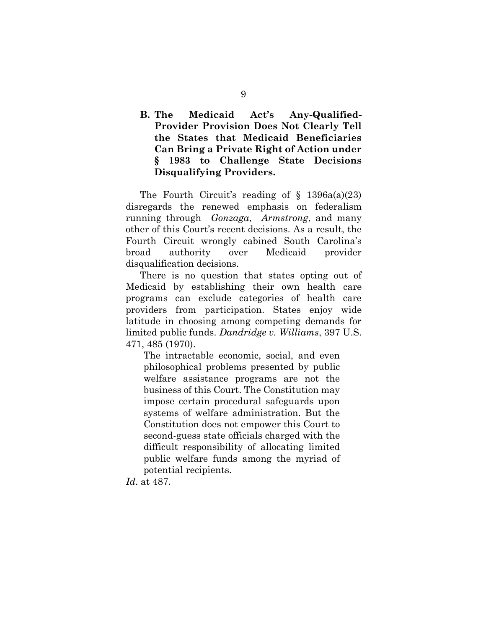## **B. The Medicaid Act's Any-Qualified-Provider Provision Does Not Clearly Tell the States that Medicaid Beneficiaries Can Bring a Private Right of Action under § 1983 to Challenge State Decisions Disqualifying Providers.**

The Fourth Circuit's reading of § 1396a(a)(23) disregards the renewed emphasis on federalism running through *Gonzaga*, *Armstrong*, and many other of this Court's recent decisions. As a result, the Fourth Circuit wrongly cabined South Carolina's broad authority over Medicaid provider disqualification decisions.

There is no question that states opting out of Medicaid by establishing their own health care programs can exclude categories of health care providers from participation. States enjoy wide latitude in choosing among competing demands for limited public funds. *Dandridge v. Williams*, 397 U.S. 471, 485 (1970).

The intractable economic, social, and even philosophical problems presented by public welfare assistance programs are not the business of this Court. The Constitution may impose certain procedural safeguards upon systems of welfare administration. But the Constitution does not empower this Court to second-guess state officials charged with the difficult responsibility of allocating limited public welfare funds among the myriad of potential recipients.

*Id*. at 487.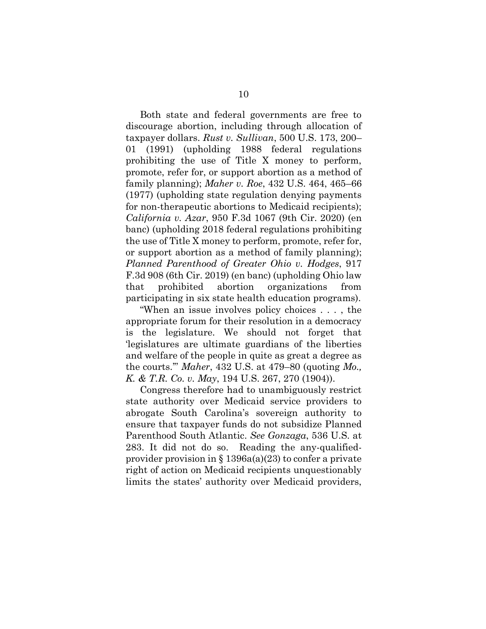Both state and federal governments are free to discourage abortion, including through allocation of taxpayer dollars. *Rust v. Sullivan*, 500 U.S. 173, 200– 01 (1991) (upholding 1988 federal regulations prohibiting the use of Title X money to perform, promote, refer for, or support abortion as a method of family planning); *Maher v. Roe*, 432 U.S. 464, 465–66 (1977) (upholding state regulation denying payments for non-therapeutic abortions to Medicaid recipients); *California v. Azar*, 950 F.3d 1067 (9th Cir. 2020) (en banc) (upholding 2018 federal regulations prohibiting the use of Title X money to perform, promote, refer for, or support abortion as a method of family planning); *Planned Parenthood of Greater Ohio v. Hodges*, 917 F.3d 908 (6th Cir. 2019) (en banc) (upholding Ohio law that prohibited abortion organizations from participating in six state health education programs).

"When an issue involves policy choices . . . , the appropriate forum for their resolution in a democracy is the legislature. We should not forget that 'legislatures are ultimate guardians of the liberties and welfare of the people in quite as great a degree as the courts.'" *Maher*, 432 U.S. at 479–80 (quoting *Mo., K. & T.R. Co. v. May*, 194 U.S. 267, 270 (1904)).

Congress therefore had to unambiguously restrict state authority over Medicaid service providers to abrogate South Carolina's sovereign authority to ensure that taxpayer funds do not subsidize Planned Parenthood South Atlantic. *See Gonzaga*, 536 U.S. at 283. It did not do so. Reading the any-qualifiedprovider provision in  $\S 1396a(a)(23)$  to confer a private right of action on Medicaid recipients unquestionably limits the states' authority over Medicaid providers,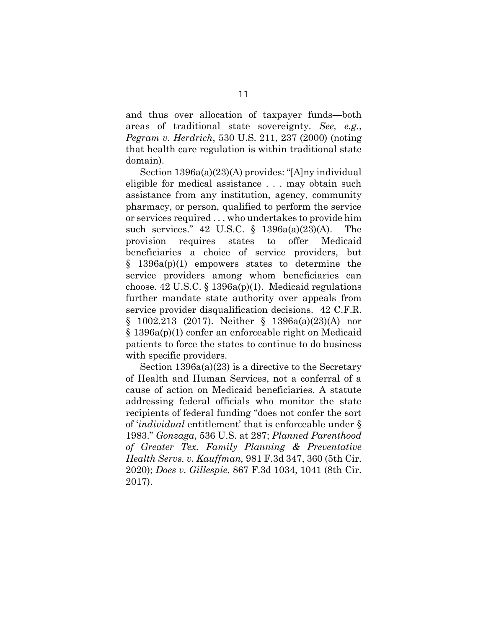and thus over allocation of taxpayer funds—both areas of traditional state sovereignty. *See, e.g.*, *Pegram v. Herdrich*, 530 U.S. 211, 237 (2000) (noting that health care regulation is within traditional state domain).

Section 1396a(a)(23)(A) provides: "[A]ny individual eligible for medical assistance . . . may obtain such assistance from any institution, agency, community pharmacy, or person, qualified to perform the service or services required . . . who undertakes to provide him such services." 42 U.S.C. § 1396a(a)(23)(A). The provision requires states to offer Medicaid beneficiaries a choice of service providers, but § 1396a(p)(1) empowers states to determine the service providers among whom beneficiaries can choose. 42 U.S.C. § 1396a(p)(1). Medicaid regulations further mandate state authority over appeals from service provider disqualification decisions. 42 C.F.R. § 1002.213 (2017). Neither § 1396a(a)(23)(A) nor § 1396a(p)(1) confer an enforceable right on Medicaid patients to force the states to continue to do business with specific providers.

Section 1396a(a)(23) is a directive to the Secretary of Health and Human Services, not a conferral of a cause of action on Medicaid beneficiaries. A statute addressing federal officials who monitor the state recipients of federal funding "does not confer the sort of '*individual* entitlement' that is enforceable under § 1983." *Gonzaga*, 536 U.S. at 287; *Planned Parenthood of Greater Tex. Family Planning & Preventative Health Servs. v. Kauffman,* 981 F.3d 347, 360 (5th Cir. 2020); *Does v. Gillespie*, 867 F.3d 1034, 1041 (8th Cir. 2017).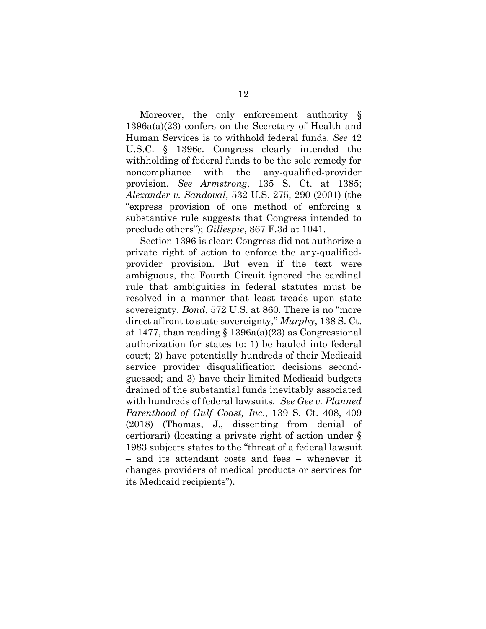Moreover, the only enforcement authority  $\S$ 1396a(a)(23) confers on the Secretary of Health and Human Services is to withhold federal funds. *See* 42 U.S.C. § 1396c. Congress clearly intended the withholding of federal funds to be the sole remedy for noncompliance with the any-qualified-provider provision. *See Armstrong*, 135 S. Ct. at 1385; *Alexander v. Sandoval*, 532 U.S. 275, 290 (2001) (the "express provision of one method of enforcing a substantive rule suggests that Congress intended to preclude others"); *Gillespie*, 867 F.3d at 1041.

Section 1396 is clear: Congress did not authorize a private right of action to enforce the any-qualifiedprovider provision. But even if the text were ambiguous, the Fourth Circuit ignored the cardinal rule that ambiguities in federal statutes must be resolved in a manner that least treads upon state sovereignty. *Bond*, 572 U.S. at 860. There is no "more direct affront to state sovereignty," *Murphy*, 138 S. Ct. at 1477, than reading  $\S 1396a(a)(23)$  as Congressional authorization for states to: 1) be hauled into federal court; 2) have potentially hundreds of their Medicaid service provider disqualification decisions secondguessed; and 3) have their limited Medicaid budgets drained of the substantial funds inevitably associated with hundreds of federal lawsuits. *See Gee v. Planned Parenthood of Gulf Coast, Inc*., 139 S. Ct. 408, 409 (2018) (Thomas, J., dissenting from denial of certiorari) (locating a private right of action under § 1983 subjects states to the "threat of a federal lawsuit – and its attendant costs and fees – whenever it changes providers of medical products or services for its Medicaid recipients").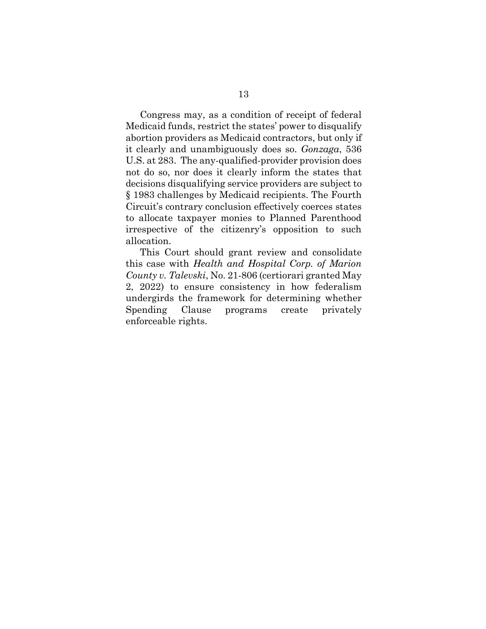Congress may, as a condition of receipt of federal Medicaid funds, restrict the states' power to disqualify abortion providers as Medicaid contractors, but only if it clearly and unambiguously does so. *Gonzaga*, 536 U.S. at 283. The any-qualified-provider provision does not do so, nor does it clearly inform the states that decisions disqualifying service providers are subject to § 1983 challenges by Medicaid recipients. The Fourth Circuit's contrary conclusion effectively coerces states to allocate taxpayer monies to Planned Parenthood irrespective of the citizenry's opposition to such allocation.

This Court should grant review and consolidate this case with *Health and Hospital Corp. of Marion County v. Talevski*, No. 21-806 (certiorari granted May 2, 2022) to ensure consistency in how federalism undergirds the framework for determining whether Spending Clause programs create privately enforceable rights.